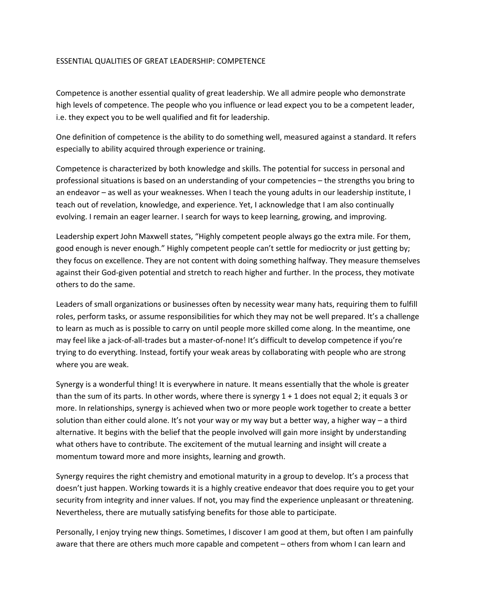### ESSENTIAL QUALITIES OF GREAT LEADERSHIP: COMPETENCE

Competence is another essential quality of great leadership. We all admire people who demonstrate high levels of competence. The people who you influence or lead expect you to be a competent leader, i.e. they expect you to be well qualified and fit for leadership.

One definition of competence is the ability to do something well, measured against a standard. It refers especially to ability acquired through experience or training.

Competence is characterized by both knowledge and skills. The potential for success in personal and professional situations is based on an understanding of your competencies – the strengths you bring to an endeavor – as well as your weaknesses. When I teach the young adults in our leadership institute, I teach out of revelation, knowledge, and experience. Yet, I acknowledge that I am also continually evolving. I remain an eager learner. I search for ways to keep learning, growing, and improving.

Leadership expert John Maxwell states, "Highly competent people always go the extra mile. For them, good enough is never enough." Highly competent people can't settle for mediocrity or just getting by; they focus on excellence. They are not content with doing something halfway. They measure themselves against their God-given potential and stretch to reach higher and further. In the process, they motivate others to do the same.

Leaders of small organizations or businesses often by necessity wear many hats, requiring them to fulfill roles, perform tasks, or assume responsibilities for which they may not be well prepared. It's a challenge to learn as much as is possible to carry on until people more skilled come along. In the meantime, one may feel like a jack-of-all-trades but a master-of-none! It's difficult to develop competence if you're trying to do everything. Instead, fortify your weak areas by collaborating with people who are strong where you are weak.

Synergy is a wonderful thing! It is everywhere in nature. It means essentially that the whole is greater than the sum of its parts. In other words, where there is synergy 1 + 1 does not equal 2; it equals 3 or more. In relationships, synergy is achieved when two or more people work together to create a better solution than either could alone. It's not your way or my way but a better way, a higher way – a third alternative. It begins with the belief that the people involved will gain more insight by understanding what others have to contribute. The excitement of the mutual learning and insight will create a momentum toward more and more insights, learning and growth.

Synergy requires the right chemistry and emotional maturity in a group to develop. It's a process that doesn't just happen. Working towards it is a highly creative endeavor that does require you to get your security from integrity and inner values. If not, you may find the experience unpleasant or threatening. Nevertheless, there are mutually satisfying benefits for those able to participate.

Personally, I enjoy trying new things. Sometimes, I discover I am good at them, but often I am painfully aware that there are others much more capable and competent – others from whom I can learn and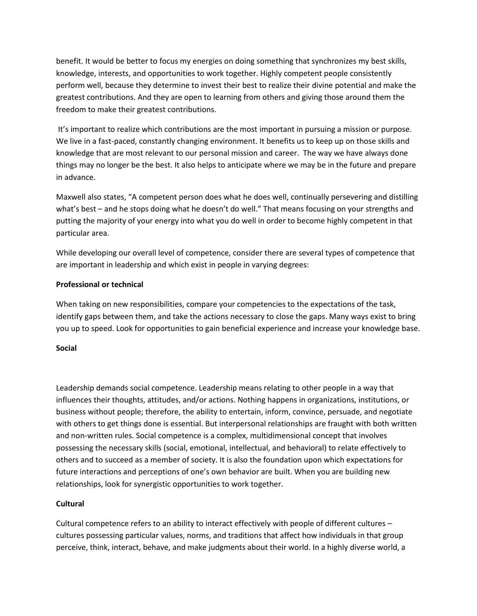benefit. It would be better to focus my energies on doing something that synchronizes my best skills, knowledge, interests, and opportunities to work together. Highly competent people consistently perform well, because they determine to invest their best to realize their divine potential and make the greatest contributions. And they are open to learning from others and giving those around them the freedom to make their greatest contributions.

It's important to realize which contributions are the most important in pursuing a mission or purpose. We live in a fast-paced, constantly changing environment. It benefits us to keep up on those skills and knowledge that are most relevant to our personal mission and career. The way we have always done things may no longer be the best. It also helps to anticipate where we may be in the future and prepare in advance.

Maxwell also states, "A competent person does what he does well, continually persevering and distilling what's best – and he stops doing what he doesn't do well." That means focusing on your strengths and putting the majority of your energy into what you do well in order to become highly competent in that particular area.

While developing our overall level of competence, consider there are several types of competence that are important in leadership and which exist in people in varying degrees:

# **Professional or technical**

When taking on new responsibilities, compare your competencies to the expectations of the task, identify gaps between them, and take the actions necessary to close the gaps. Many ways exist to bring you up to speed. Look for opportunities to gain beneficial experience and increase your knowledge base.

## **Social**

Leadership demands social competence. Leadership means relating to other people in a way that influences their thoughts, attitudes, and/or actions. Nothing happens in organizations, institutions, or business without people; therefore, the ability to entertain, inform, convince, persuade, and negotiate with others to get things done is essential. But interpersonal relationships are fraught with both written and non-written rules. Social competence is a complex, multidimensional concept that involves possessing the necessary skills (social, emotional, intellectual, and behavioral) to relate effectively to others and to succeed as a member of society. It is also the foundation upon which expectations for future interactions and perceptions of one's own behavior are built. When you are building new relationships, look for synergistic opportunities to work together.

## **Cultural**

Cultural competence refers to an ability to interact effectively with people of different cultures – cultures possessing particular values, norms, and traditions that affect how individuals in that group perceive, think, interact, behave, and make judgments about their world. In a highly diverse world, a